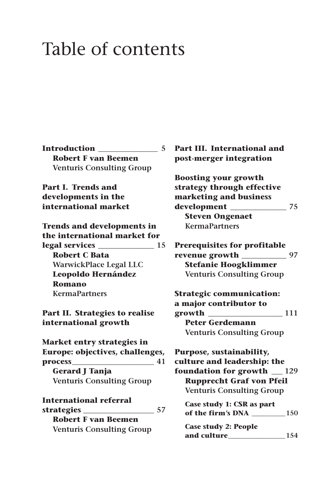## Table of contents

| Introduction                     | 5 |
|----------------------------------|---|
| <b>Robert F van Beemen</b>       |   |
| <b>Venturis Consulting Group</b> |   |

**Part I. Trends and developments in the international market**

**Trends and developments in the international market for legal services \_\_\_\_\_\_\_\_\_\_\_\_\_\_\_ 15 Robert C Bata WarwickPlace Legal LLC Leopoldo Hernández Romano KermaPartners**

**Part II. Strategies to realise international growth**

**Market entry strategies in Europe: objectives, challenges, process\_\_\_\_\_\_\_\_\_\_\_\_\_\_\_\_\_\_\_\_\_\_ 41 Gerard J Tanja Venturis Consulting Group**

**International referral strategies \_\_\_\_\_\_\_\_\_\_\_\_\_\_\_\_\_\_\_ 57 Robert F van Beemen Venturis Consulting Group**

| <b>Part III. International and</b><br>post-merger integration                                                                                                            |  |
|--------------------------------------------------------------------------------------------------------------------------------------------------------------------------|--|
| <b>Boosting your growth</b><br>strategy through effective<br>marketing and business<br>development _____________<br>75<br><b>Steven Ongenaet</b><br><b>KermaPartners</b> |  |
| <b>Prerequisites for profitable</b><br>revenue growth _________<br>97<br><b>Stefanie Hoogklimmer</b><br><b>Venturis Consulting Group</b>                                 |  |
| <b>Strategic communication:</b><br>a major contributor to<br>111<br><b>Peter Gerdemann</b><br><b>Venturis Consulting Group</b>                                           |  |
| Purpose, sustainability,<br>culture and leadership: the<br>foundation for growth __ 129<br><b>Rupprecht Graf von Pfeil</b><br><b>Venturis Consulting Group</b>           |  |
| Case study 1: CSR as part<br>of the firm's DNA 150                                                                                                                       |  |
| <b>Case study 2: People</b><br>and culture<br>154                                                                                                                        |  |